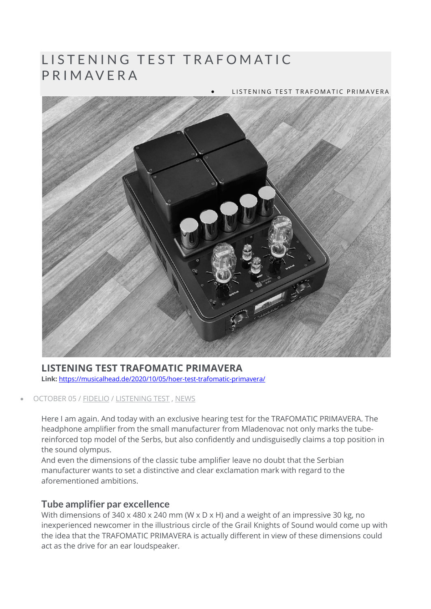# LISTENING TEST TRAFOMATIC PRIMAVERA

#### • LISTENING TEST TRAFOMATIC PRIMAVERA



#### **LISTENING TEST TRAFOMATIC PRIMAVERA Link:** https://musicalhead.de/2020/10/05/hoer-test-trafomatic-primavera/

#### • OCTOBER 05 / FIDELIO / LISTENING TEST , NEWS

Here I am again. And today with an exclusive hearing test for the TRAFOMATIC PRIMAVERA. The headphone amplifier from the small manufacturer from Mladenovac not only marks the tubereinforced top model of the Serbs, but also confidently and undisguisedly claims a top position in the sound olympus.

And even the dimensions of the classic tube amplifier leave no doubt that the Serbian manufacturer wants to set a distinctive and clear exclamation mark with regard to the aforementioned ambitions.

### **Tube amplifier par excellence**

With dimensions of 340 x 480 x 240 mm (W x D x H) and a weight of an impressive 30 kg, no inexperienced newcomer in the illustrious circle of the Grail Knights of Sound would come up with the idea that the TRAFOMATIC PRIMAVERA is actually different in view of these dimensions could act as the drive for an ear loudspeaker.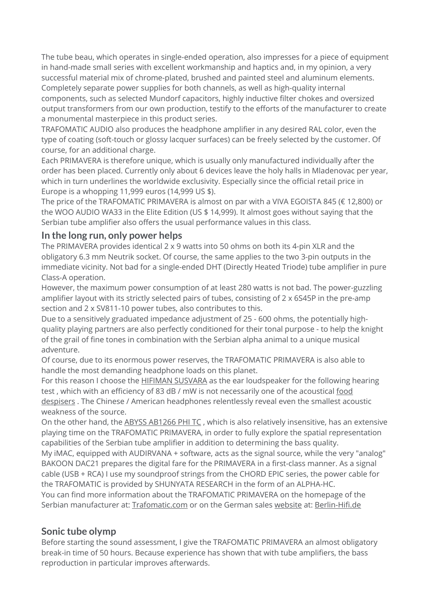The tube beau, which operates in single-ended operation, also impresses for a piece of equipment in hand-made small series with excellent workmanship and haptics and, in my opinion, a very successful material mix of chrome-plated, brushed and painted steel and aluminum elements. Completely separate power supplies for both channels, as well as high-quality internal components, such as selected Mundorf capacitors, highly inductive filter chokes and oversized output transformers from our own production, testify to the efforts of the manufacturer to create a monumental masterpiece in this product series.

TRAFOMATIC AUDIO also produces the headphone amplifier in any desired RAL color, even the type of coating (soft-touch or glossy lacquer surfaces) can be freely selected by the customer. Of course, for an additional charge.

Each PRIMAVERA is therefore unique, which is usually only manufactured individually after the order has been placed. Currently only about 6 devices leave the holy halls in Mladenovac per year, which in turn underlines the worldwide exclusivity. Especially since the official retail price in Europe is a whopping 11,999 euros (14,999 US \$).

The price of the TRAFOMATIC PRIMAVERA is almost on par with a VIVA EGOISTA 845 (€ 12,800) or the WOO AUDIO WA33 in the Elite Edition (US \$ 14,999). It almost goes without saying that the Serbian tube amplifier also offers the usual performance values in this class.

## **In the long run, only power helps**

The PRIMAVERA provides identical 2 x 9 watts into 50 ohms on both its 4-pin XLR and the obligatory 6.3 mm Neutrik socket. Of course, the same applies to the two 3-pin outputs in the immediate vicinity. Not bad for a single-ended DHT (Directly Heated Triode) tube amplifier in pure Class-A operation.

However, the maximum power consumption of at least 280 watts is not bad. The power-guzzling amplifier layout with its strictly selected pairs of tubes, consisting of 2 x 6S45P in the pre-amp section and 2 x SV811-10 power tubes, also contributes to this.

Due to a sensitively graduated impedance adjustment of 25 - 600 ohms, the potentially highquality playing partners are also perfectly conditioned for their tonal purpose - to help the knight of the grail of fine tones in combination with the Serbian alpha animal to a unique musical adventure.

Of course, due to its enormous power reserves, the TRAFOMATIC PRIMAVERA is also able to handle the most demanding headphone loads on this planet.

For this reason I choose the **HIFIMAN SUSVARA** as the ear loudspeaker for the following hearing test , which with an efficiency of 83 dB / mW is not necessarily one of the acoustical food despisers. The Chinese / American headphones relentlessly reveal even the smallest acoustic weakness of the source.

On the other hand, the ABYSS AB1266 PHI TC, which is also relatively insensitive, has an extensive playing time on the TRAFOMATIC PRIMAVERA, in order to fully explore the spatial representation capabilities of the Serbian tube amplifier in addition to determining the bass quality.

My iMAC, equipped with AUDIRVANA + software, acts as the signal source, while the very "analog" BAKOON DAC21 prepares the digital fare for the PRIMAVERA in a first-class manner. As a signal cable (USB + RCA) I use my soundproof strings from the CHORD EPIC series, the power cable for the TRAFOMATIC is provided by SHUNYATA RESEARCH in the form of an ALPHA-HC.

You can find more information about the TRAFOMATIC PRIMAVERA on the homepage of the Serbian manufacturer at: Trafomatic.com or on the German sales website at: Berlin-Hifi.de

# **Sonic tube olymp**

Before starting the sound assessment, I give the TRAFOMATIC PRIMAVERA an almost obligatory break-in time of 50 hours. Because experience has shown that with tube amplifiers, the bass reproduction in particular improves afterwards.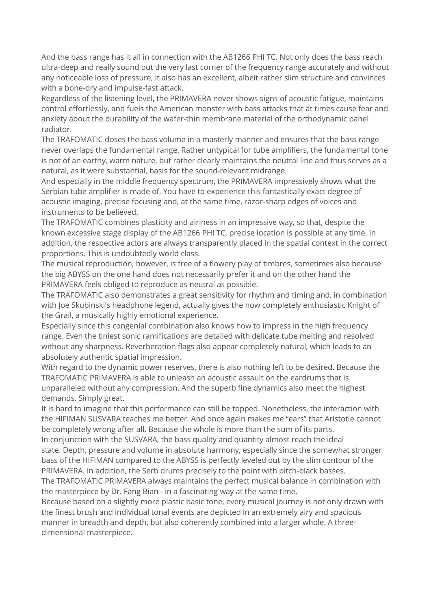And the bass range has it all in connection with the AB1266 PHI TC. Not only does the bass reach ultra-deep and really sound out the very last corner of the frequency range accurately and without any noticeable loss of pressure, it also has an excellent, albeit rather slim structure and convinces with a bone-dry and impulse-fast attack.

Regardless of the listening level, the PRIMAVERA never shows signs of acoustic fatigue, maintains control effortlessly, and fuels the American monster with bass attacks that at times cause fear and anxiety about the durability of the wafer-thin membrane material of the orthodynamic panel radiator.

The TRAFOMATIC doses the bass volume in a masterly manner and ensures that the bass range never overlaps the fundamental range. Rather untypical for tube amplifiers, the fundamental tone is not of an earthy, warm nature, but rather clearly maintains the neutral line and thus serves as a natural, as it were substantial, basis for the sound-relevant midrange.

And especially in the middle frequency spectrum, the PRIMAVERA impressively shows what the Serbian tube amplifier is made of. You have to experience this fantastically exact degree of acoustic imaging, precise focusing and, at the same time, razor-sharp edges of voices and instruments to be believed.

The TRAFOMATIC combines plasticity and airiness in an impressive way, so that, despite the known excessive stage display of the AB1266 PHI TC, precise location is possible at any time. In addition, the respective actors are always transparently placed in the spatial context in the correct proportions. This is undoubtedly world class.

The musical reproduction, however, is free of a flowery play of timbres, sometimes also because the big ABYSS on the one hand does not necessarily prefer it and on the other hand the PRIMAVERA feels obliged to reproduce as neutral as possible.

The TRAFOMATIC also demonstrates a great sensitivity for rhythm and timing and, in combination with Joe Skubinski's headphone legend, actually gives the now completely enthusiastic Knight of the Grail, a musically highly emotional experience.

Especially since this congenial combination also knows how to impress in the high frequency range. Even the tiniest sonic ramifications are detailed with delicate tube melting and resolved without any sharpness. Reverberation flags also appear completely natural, which leads to an absolutely authentic spatial impression.

With regard to the dynamic power reserves, there is also nothing left to be desired. Because the TRAFOMATIC PRIMAVERA is able to unleash an acoustic assault on the eardrums that is unparalleled without any compression. And the superb fine dynamics also meet the highest demands. Simply great.

It is hard to imagine that this performance can still be topped. Nonetheless, the interaction with the HIFIMAN SUSVARA teaches me better. And once again makes me "ears" that Aristotle cannot be completely wrong after all. Because the whole is more than the sum of its parts.

In conjunction with the SUSVARA, the bass quality and quantity almost reach the ideal state. Depth, pressure and volume in absolute harmony, especially since the somewhat stronger bass of the HIFIMAN compared to the ABYSS is perfectly leveled out by the slim contour of the PRIMAVERA. In addition, the Serb drums precisely to the point with pitch-black basses.

The TRAFOMATIC PRIMAVERA always maintains the perfect musical balance in combination with the masterpiece by Dr. Fang Bian - in a fascinating way at the same time.

Because based on a slightly more plastic basic tone, every musical journey is not only drawn with the finest brush and individual tonal events are depicted in an extremely airy and spacious manner in breadth and depth, but also coherently combined into a larger whole. A threedimensional masterpiece.